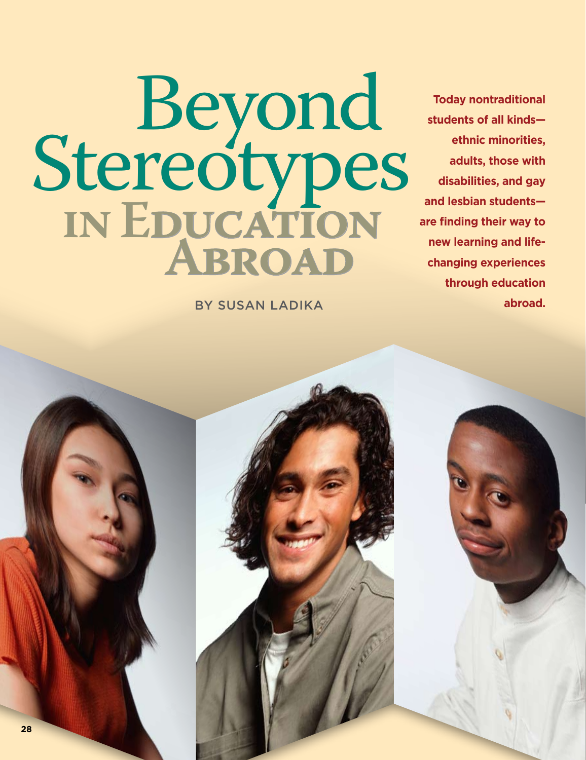Beyond Stereotypes **in Education Abroad**

By Susan Ladika

**Today nontraditional students of all kinds ethnic minorities, adults, those with disabilities, and gay and lesbian students are finding their way to new learning and lifechanging experiences through education abroad.**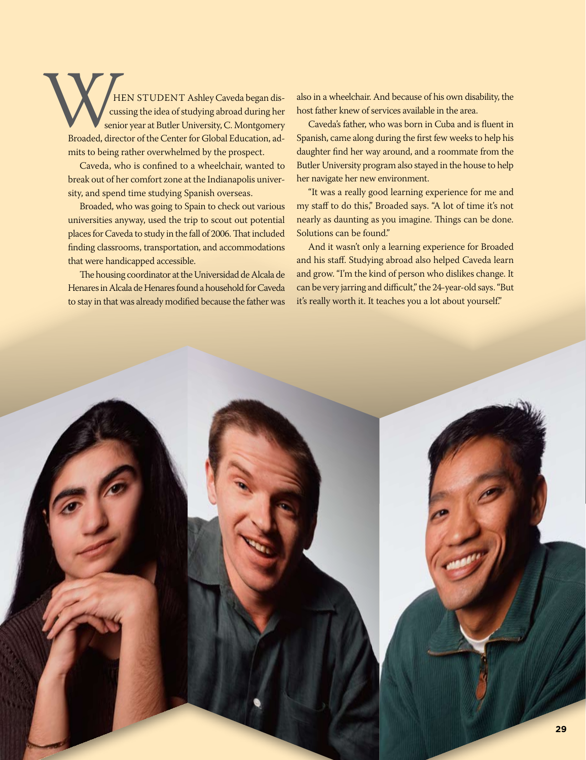HEN STUDENT Ashley Caveda began discussing the idea of studying abroad during her senior year at Butler University, C. Montgomery Broaded, director of the Center for Global Education, admits to being rather overwhelmed by the prospect. H

Caveda, who is confined to a wheelchair, wanted to break out of her comfort zone at the Indianapolis university, and spend time studying Spanish overseas.

Broaded, who was going to Spain to check out various universities anyway, used the trip to scout out potential places for Caveda to study in the fall of 2006. That included finding classrooms, transportation, and accommodations that were handicapped accessible.

The housing coordinator at the Universidad de Alcala de Henares in Alcala de Henares found a household for Caveda to stay in that was already modified because the father was also in a wheelchair. And because of his own disability, the host father knew of services available in the area.

Caveda's father, who was born in Cuba and is fluent in Spanish, came along during the first few weeks to help his daughter find her way around, and a roommate from the Butler University program also stayed in the house to help her navigate her new environment.

"It was a really good learning experience for me and my staff to do this," Broaded says. "A lot of time it's not nearly as daunting as you imagine. Things can be done. Solutions can be found."

And it wasn't only a learning experience for Broaded and his staff. Studying abroad also helped Caveda learn and grow. "I'm the kind of person who dislikes change. It can be very jarring and difficult," the 24-year-old says. "But it's really worth it. It teaches you a lot about yourself."

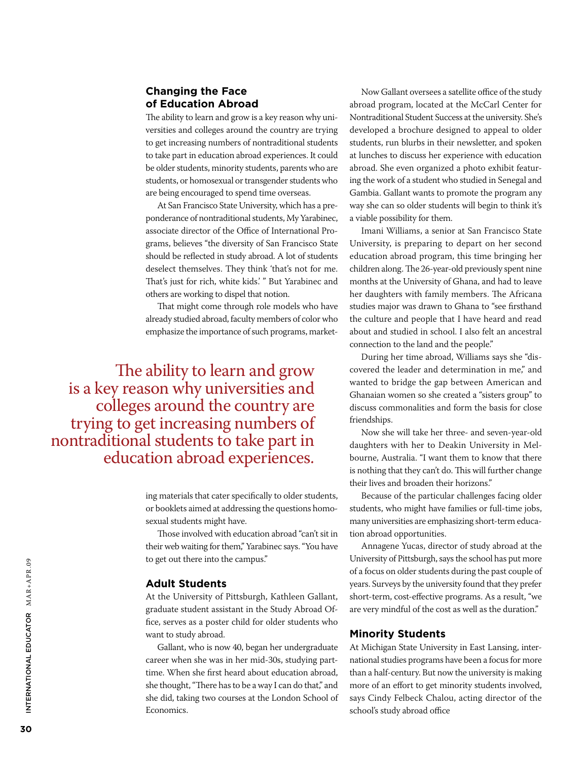# **Changing the Face of Education Abroad**

The ability to learn and grow is a key reason why universities and colleges around the country are trying to get increasing numbers of nontraditional students to take part in education abroad experiences. It could be older students, minority students, parents who are students, or homosexual or transgender students who are being encouraged to spend time overseas.

At San Francisco State University, which has a preponderance of nontraditional students, My Yarabinec, associate director of the Office of International Programs, believes "the diversity of San Francisco State should be reflected in study abroad. A lot of students deselect themselves. They think 'that's not for me. That's just for rich, white kids.' " But Yarabinec and others are working to dispel that notion.

That might come through role models who have already studied abroad, faculty members of color who emphasize the importance of such programs, market-

The ability to learn and grow is a key reason why universities and colleges around the country are trying to get increasing numbers of nontraditional students to take part in education abroad experiences.

> ing materials that cater specifically to older students, or booklets aimed at addressing the questions homosexual students might have.

> Those involved with education abroad "can't sit in their web waiting for them," Yarabinec says. "You have to get out there into the campus."

#### **Adult Students**

At the University of Pittsburgh, Kathleen Gallant, graduate student assistant in the Study Abroad Office, serves as a poster child for older students who want to study abroad.

Gallant, who is now 40, began her undergraduate career when she was in her mid-30s, studying parttime. When she first heard about education abroad, she thought, "There has to be a way I can do that," and she did, taking two courses at the London School of Economics.

Now Gallant oversees a satellite office of the study abroad program, located at the McCarl Center for Nontraditional Student Success at the university. She's developed a brochure designed to appeal to older students, run blurbs in their newsletter, and spoken at lunches to discuss her experience with education abroad. She even organized a photo exhibit featuring the work of a student who studied in Senegal and Gambia. Gallant wants to promote the program any way she can so older students will begin to think it's a viable possibility for them.

Imani Williams, a senior at San Francisco State University, is preparing to depart on her second education abroad program, this time bringing her children along. The 26-year-old previously spent nine months at the University of Ghana, and had to leave her daughters with family members. The Africana studies major was drawn to Ghana to "see firsthand the culture and people that I have heard and read about and studied in school. I also felt an ancestral connection to the land and the people."

During her time abroad, Williams says she "discovered the leader and determination in me," and wanted to bridge the gap between American and Ghanaian women so she created a "sisters group" to discuss commonalities and form the basis for close friendships.

Now she will take her three- and seven-year-old daughters with her to Deakin University in Melbourne, Australia. "I want them to know that there is nothing that they can't do. This will further change their lives and broaden their horizons."

Because of the particular challenges facing older students, who might have families or full-time jobs, many universities are emphasizing short-term education abroad opportunities.

Annagene Yucas, director of study abroad at the University of Pittsburgh, says the school has put more of a focus on older students during the past couple of years. Surveys by the university found that they prefer short-term, cost-effective programs. As a result, "we are very mindful of the cost as well as the duration."

#### **Minority Students**

At Michigan State University in East Lansing, international studies programs have been a focus for more than a half-century. But now the university is making more of an effort to get minority students involved, says Cindy Felbeck Chalou, acting director of the school's study abroad office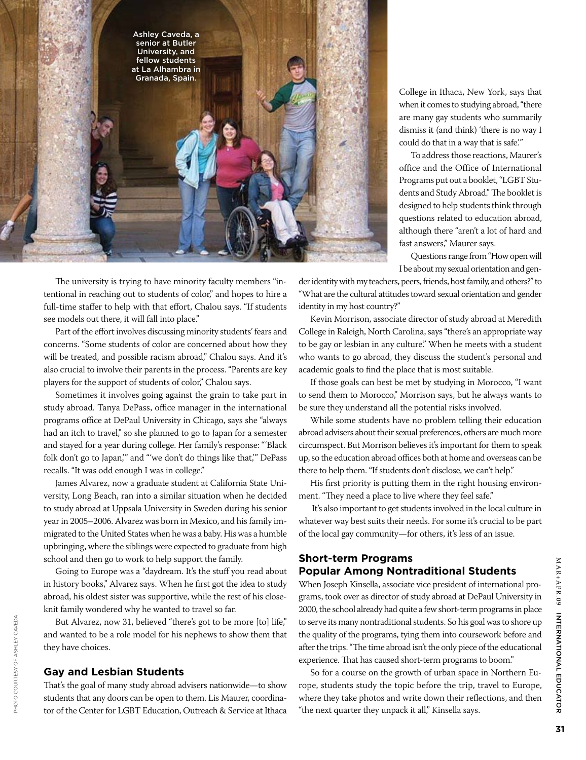

College in Ithaca, New York, says that when it comes to studying abroad, "there are many gay students who summarily dismiss it (and think) 'there is no way I could do that in a way that is safe.'"

To address those reactions, Maurer's office and the Office of International Programs put out a booklet, "LGBT Students and Study Abroad." The booklet is designed to help students think through questions related to education abroad, although there "aren't a lot of hard and fast answers," Maurer says.

Questions range from "How open will I be about my sexual orientation and gen-

The university is trying to have minority faculty members "intentional in reaching out to students of color," and hopes to hire a full-time staffer to help with that effort, Chalou says. "If students see models out there, it will fall into place."

Part of the effort involves discussing minority students' fears and concerns. "Some students of color are concerned about how they will be treated, and possible racism abroad," Chalou says. And it's also crucial to involve their parents in the process. "Parents are key players for the support of students of color," Chalou says.

Sometimes it involves going against the grain to take part in study abroad. Tanya DePass, office manager in the international programs office at DePaul University in Chicago, says she "always had an itch to travel," so she planned to go to Japan for a semester and stayed for a year during college. Her family's response: "'Black folk don't go to Japan,'" and "'we don't do things like that,'" DePass recalls. "It was odd enough I was in college."

James Alvarez, now a graduate student at California State University, Long Beach, ran into a similar situation when he decided to study abroad at Uppsala University in Sweden during his senior year in 2005–2006. Alvarez was born in Mexico, and his family immigrated to the United States when he was a baby. His was a humble upbringing, where the siblings were expected to graduate from high school and then go to work to help support the family.

Going to Europe was a "daydream. It's the stuff you read about in history books," Alvarez says. When he first got the idea to study abroad, his oldest sister was supportive, while the rest of his closeknit family wondered why he wanted to travel so far.

But Alvarez, now 31, believed "there's got to be more [to] life," and wanted to be a role model for his nephews to show them that they have choices.

### **Gay and Lesbian Students**

Photo courtesy of Ashley Caveda

PHOTO COURTESY OF ASHLEY CAVEDA

That's the goal of many study abroad advisers nationwide—to show students that any doors can be open to them. Lis Maurer, coordinator of the Center for LGBT Education, Outreach & Service at Ithaca

der identity with my teachers, peers, friends, host family, and others?" to "What are the cultural attitudes toward sexual orientation and gender identity in my host country?"

Kevin Morrison, associate director of study abroad at Meredith College in Raleigh, North Carolina, says "there's an appropriate way to be gay or lesbian in any culture." When he meets with a student who wants to go abroad, they discuss the student's personal and academic goals to find the place that is most suitable.

If those goals can best be met by studying in Morocco, "I want to send them to Morocco," Morrison says, but he always wants to be sure they understand all the potential risks involved.

While some students have no problem telling their education abroad advisers about their sexual preferences, others are much more circumspect. But Morrison believes it's important for them to speak up, so the education abroad offices both at home and overseas can be there to help them. "If students don't disclose, we can't help."

His first priority is putting them in the right housing environment. "They need a place to live where they feel safe."

 It's also important to get students involved in the local culture in whatever way best suits their needs. For some it's crucial to be part of the local gay community—for others, it's less of an issue.

# **Short-term Programs Popular Among Nontraditional Students**

When Joseph Kinsella, associate vice president of international programs, took over as director of study abroad at DePaul University in 2000, the school already had quite a few short-term programs in place to serve its many nontraditional students. So his goal was to shore up the quality of the programs, tying them into coursework before and after the trips. "The time abroad isn't the only piece of the educational experience. That has caused short-term programs to boom."

So for a course on the growth of urban space in Northern Europe, students study the topic before the trip, travel to Europe, where they take photos and write down their reflections, and then "the next quarter they unpack it all," Kinsella says.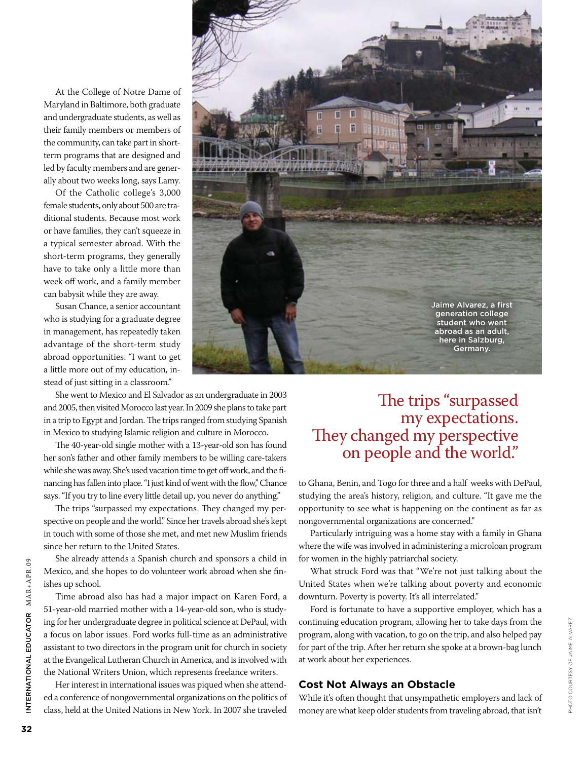At the College of Notre Dame of Maryland in Baltimore, both graduate and undergraduate students, as well as their family members or members of the community, can take part in shortterm programs that are designed and led by faculty members and are generally about two weeks long, says Lamy.

Of the Catholic college's 3,000 female students, only about 500 are traditional students. Because most work or have families, they can't squeeze in a typical semester abroad. With the short-term programs, they generally have to take only a little more than week off work, and a family member can babysit while they are away.

Susan Chance, a senior accountant who is studying for a graduate degree in management, has repeatedly taken advantage of the short-term study abroad opportunities. "I want to get a little more out of my education, instead of just sitting in a classroom."

She went to Mexico and El Salvador as an undergraduate in 2003 and 2005, then visited Morocco last year. In 2009 she plans to take part in a trip to Egypt and Jordan. The trips ranged from studying Spanish in Mexico to studying Islamic religion and culture in Morocco.

The 40-year-old single mother with a 13-year-old son has found her son's father and other family members to be willing care-takers while she was away. She's used vacation time to get off work, and the financing has fallen into place. "I just kind of went with the flow," Chance says. "If you try to line every little detail up, you never do anything."

The trips "surpassed my expectations. They changed my perspective on people and the world." Since her travels abroad she's kept in touch with some of those she met, and met new Muslim friends since her return to the United States.

She already attends a Spanish church and sponsors a child in Mexico, and she hopes to do volunteer work abroad when she finishes up school.

Time abroad also has had a major impact on Karen Ford, a 51-year-old married mother with a 14-year-old son, who is studying for her undergraduate degree in political science at DePaul, with a focus on labor issues. Ford works full-time as an administrative assistant to two directors in the program unit for church in society at the Evangelical Lutheran Church in America, and is involved with the National Writers Union, which represents freelance writers.

Her interest in international issues was piqued when she attended a conference of nongovernmental organizations on the politics of class, held at the United Nations in New York. In 2007 she traveled

# The trips "surpassed my expectations. They changed my perspective on people and the world."

to Ghana, Benin, and Togo for three and a half weeks with DePaul, studying the area's history, religion, and culture. "It gave me the opportunity to see what is happening on the continent as far as nongovernmental organizations are concerned."

Particularly intriguing was a home stay with a family in Ghana where the wife was involved in administering a microloan program for women in the highly patriarchal society.

What struck Ford was that "We're not just talking about the United States when we're talking about poverty and economic downturn. Poverty is poverty. It's all interrelated."

Ford is fortunate to have a supportive employer, which has a continuing education program, allowing her to take days from the program, along with vacation, to go on the trip, and also helped pay for part of the trip. After her return she spoke at a brown-bag lunch at work about her experiences.

## **Cost Not Always an Obstacle**

While it's often thought that unsympathetic employers and lack of money are what keep older students from traveling abroad, that isn't

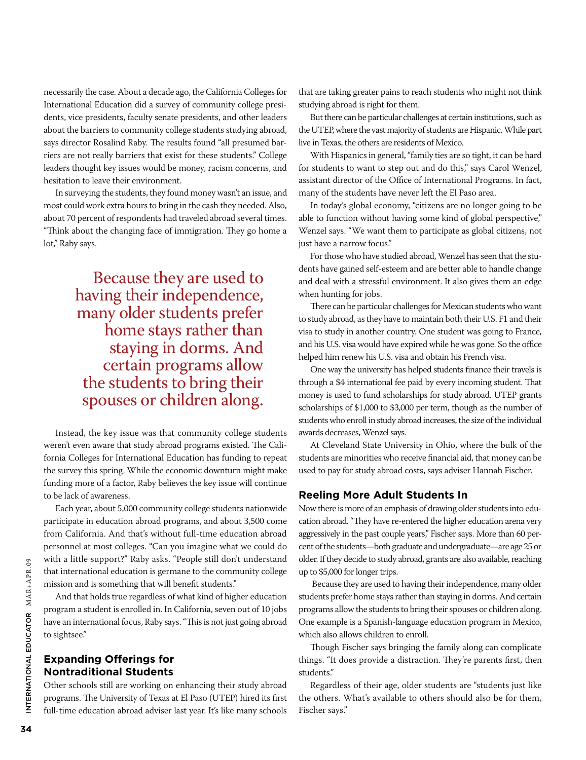necessarily the case. About a decade ago, the California Colleges for International Education did a survey of community college presidents, vice presidents, faculty senate presidents, and other leaders about the barriers to community college students studying abroad, says director Rosalind Raby. The results found "all presumed barriers are not really barriers that exist for these students." College leaders thought key issues would be money, racism concerns, and hesitation to leave their environment.

In surveying the students, they found money wasn't an issue, and most could work extra hours to bring in the cash they needed. Also, about 70 percent of respondents had traveled abroad several times. "Think about the changing face of immigration. They go home a lot," Raby says.

> Because they are used to having their independence, many older students prefer home stays rather than staying in dorms. And certain programs allow the students to bring their spouses or children along.

Instead, the key issue was that community college students weren't even aware that study abroad programs existed. The California Colleges for International Education has funding to repeat the survey this spring. While the economic downturn might make funding more of a factor, Raby believes the key issue will continue to be lack of awareness.

Each year, about 5,000 community college students nationwide participate in education abroad programs, and about 3,500 come from California. And that's without full-time education abroad personnel at most colleges. "Can you imagine what we could do with a little support?" Raby asks. "People still don't understand that international education is germane to the community college mission and is something that will benefit students."

And that holds true regardless of what kind of higher education program a student is enrolled in. In California, seven out of 10 jobs have an international focus, Raby says. "This is not just going abroad to sightsee."

# **Expanding Offerings for Nontraditional Students**

Other schools still are working on enhancing their study abroad programs. The University of Texas at El Paso (UTEP) hired its first full-time education abroad adviser last year. It's like many schools

that are taking greater pains to reach students who might not think studying abroad is right for them.

But there can be particular challenges at certain institutions, such as the UTEP, where the vast majority of students are Hispanic. While part live in Texas, the others are residents of Mexico.

With Hispanics in general, "family ties are so tight, it can be hard for students to want to step out and do this," says Carol Wenzel, assistant director of the Office of International Programs. In fact, many of the students have never left the El Paso area.

In today's global economy, "citizens are no longer going to be able to function without having some kind of global perspective," Wenzel says. "We want them to participate as global citizens, not just have a narrow focus."

For those who have studied abroad, Wenzel has seen that the students have gained self-esteem and are better able to handle change and deal with a stressful environment. It also gives them an edge when hunting for jobs.

There can be particular challenges for Mexican students who want to study abroad, as they have to maintain both their U.S. F1 and their visa to study in another country. One student was going to France, and his U.S. visa would have expired while he was gone. So the office helped him renew his U.S. visa and obtain his French visa.

One way the university has helped students finance their travels is through a \$4 international fee paid by every incoming student. That money is used to fund scholarships for study abroad. UTEP grants scholarships of \$1,000 to \$3,000 per term, though as the number of students who enroll in study abroad increases, the size of the individual awards decreases, Wenzel says.

At Cleveland State University in Ohio, where the bulk of the students are minorities who receive financial aid, that money can be used to pay for study abroad costs, says adviser Hannah Fischer.

#### **Reeling More Adult Students In**

Now there is more of an emphasis of drawing older students into education abroad. "They have re-entered the higher education arena very aggressively in the past couple years," Fischer says. More than 60 percent of the students—both graduate and undergraduate—are age 25 or older. If they decide to study abroad, grants are also available, reaching up to \$5,000 for longer trips.

 Because they are used to having their independence, many older students prefer home stays rather than staying in dorms. And certain programs allow the students to bring their spouses or children along. One example is a Spanish-language education program in Mexico, which also allows children to enroll.

Though Fischer says bringing the family along can complicate things. "It does provide a distraction. They're parents first, then students."

Regardless of their age, older students are "students just like the others. What's available to others should also be for them, Fischer says."